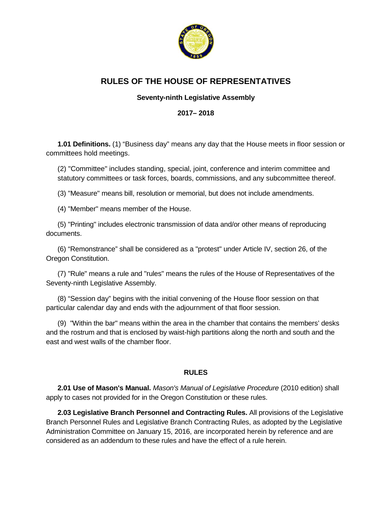

# **RULES OF THE HOUSE OF REPRESENTATIVES**

## **Seventy-ninth Legislative Assembly**

## **2017– 2018**

**1.01 Definitions.** (1) "Business day" means any day that the House meets in floor session or committees hold meetings.

(2) "Committee" includes standing, special, joint, conference and interim committee and statutory committees or task forces, boards, commissions, and any subcommittee thereof.

(3) "Measure" means bill, resolution or memorial, but does not include amendments.

(4) "Member" means member of the House.

(5) "Printing" includes electronic transmission of data and/or other means of reproducing documents.

(6) "Remonstrance" shall be considered as a "protest" under Article IV, section 26, of the Oregon Constitution.

(7) "Rule" means a rule and "rules" means the rules of the House of Representatives of the Seventy-ninth Legislative Assembly.

(8) "Session day" begins with the initial convening of the House floor session on that particular calendar day and ends with the adjournment of that floor session.

(9) "Within the bar" means within the area in the chamber that contains the members' desks and the rostrum and that is enclosed by waist-high partitions along the north and south and the east and west walls of the chamber floor.

## **RULES**

**2.01 Use of Mason's Manual.** *Mason's Manual of Legislative Procedure* (2010 edition) shall apply to cases not provided for in the Oregon Constitution or these rules.

**2.03 Legislative Branch Personnel and Contracting Rules.** All provisions of the Legislative Branch Personnel Rules and Legislative Branch Contracting Rules, as adopted by the Legislative Administration Committee on January 15, 2016, are incorporated herein by reference and are considered as an addendum to these rules and have the effect of a rule herein.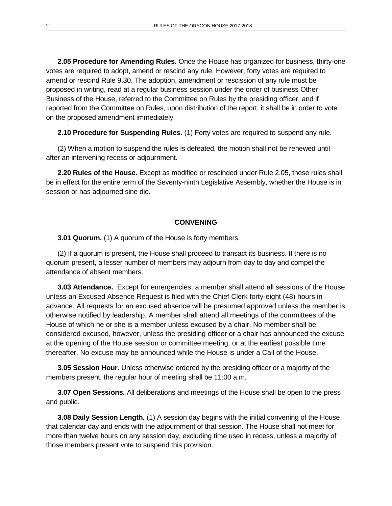**2.05 Procedure for Amending Rules.** Once the House has organized for business, thirty-one votes are required to adopt, amend or rescind any rule. However, forty votes are required to amend or rescind Rule 9.30. The adoption, amendment or rescission of any rule must be proposed in writing, read at a regular business session under the order of business Other Business of the House, referred to the Committee on Rules by the presiding officer, and if reported from the Committee on Rules, upon distribution of the report, it shall be in order to vote on the proposed amendment immediately.

**2.10 Procedure for Suspending Rules.** (1) Forty votes are required to suspend any rule.

(2) When a motion to suspend the rules is defeated, the motion shall not be renewed until after an intervening recess or adjournment.

**2.20 Rules of the House.** Except as modified or rescinded under Rule 2.05, these rules shall be in effect for the entire term of the Seventy-ninth Legislative Assembly, whether the House is in session or has adjourned sine die.

#### **CONVENING**

**3.01 Quorum.** (1) A quorum of the House is forty members.

(2) If a quorum is present, the House shall proceed to transact its business. If there is no quorum present, a lesser number of members may adjourn from day to day and compel the attendance of absent members.

**3.03 Attendance.** Except for emergencies, a member shall attend all sessions of the House unless an Excused Absence Request is filed with the Chief Clerk forty-eight (48) hours in advance. All requests for an excused absence will be presumed approved unless the member is otherwise notified by leadership. A member shall attend all meetings of the committees of the House of which he or she is a member unless excused by a chair. No member shall be considered excused, however, unless the presiding officer or a chair has announced the excuse at the opening of the House session or committee meeting, or at the earliest possible time thereafter. No excuse may be announced while the House is under a Call of the House.

**3.05 Session Hour.** Unless otherwise ordered by the presiding officer or a majority of the members present, the regular hour of meeting shall be 11:00 a.m.

**3.07 Open Sessions.** All deliberations and meetings of the House shall be open to the press and public.

**3.08 Daily Session Length.** (1) A session day begins with the initial convening of the House that calendar day and ends with the adjournment of that session. The House shall not meet for more than twelve hours on any session day, excluding time used in recess, unless a majority of those members present vote to suspend this provision.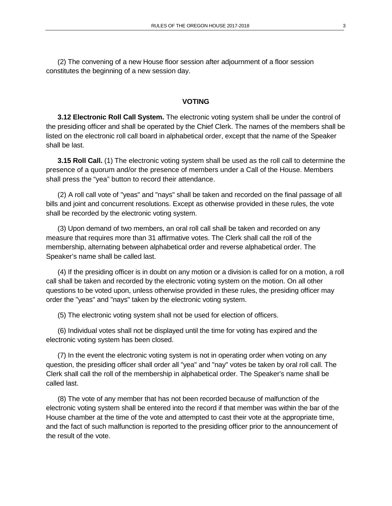(2) The convening of a new House floor session after adjournment of a floor session constitutes the beginning of a new session day.

#### **VOTING**

**3.12 Electronic Roll Call System.** The electronic voting system shall be under the control of the presiding officer and shall be operated by the Chief Clerk. The names of the members shall be listed on the electronic roll call board in alphabetical order, except that the name of the Speaker shall be last.

**3.15 Roll Call.** (1) The electronic voting system shall be used as the roll call to determine the presence of a quorum and/or the presence of members under a Call of the House. Members shall press the "yea" button to record their attendance.

(2) A roll call vote of "yeas" and "nays" shall be taken and recorded on the final passage of all bills and joint and concurrent resolutions. Except as otherwise provided in these rules, the vote shall be recorded by the electronic voting system.

(3) Upon demand of two members, an oral roll call shall be taken and recorded on any measure that requires more than 31 affirmative votes. The Clerk shall call the roll of the membership, alternating between alphabetical order and reverse alphabetical order. The Speaker's name shall be called last.

(4) If the presiding officer is in doubt on any motion or a division is called for on a motion, a roll call shall be taken and recorded by the electronic voting system on the motion. On all other questions to be voted upon, unless otherwise provided in these rules, the presiding officer may order the "yeas" and "nays" taken by the electronic voting system.

(5) The electronic voting system shall not be used for election of officers.

(6) Individual votes shall not be displayed until the time for voting has expired and the electronic voting system has been closed.

(7) In the event the electronic voting system is not in operating order when voting on any question, the presiding officer shall order all "yea" and "nay" votes be taken by oral roll call. The Clerk shall call the roll of the membership in alphabetical order. The Speaker's name shall be called last.

(8) The vote of any member that has not been recorded because of malfunction of the electronic voting system shall be entered into the record if that member was within the bar of the House chamber at the time of the vote and attempted to cast their vote at the appropriate time, and the fact of such malfunction is reported to the presiding officer prior to the announcement of the result of the vote.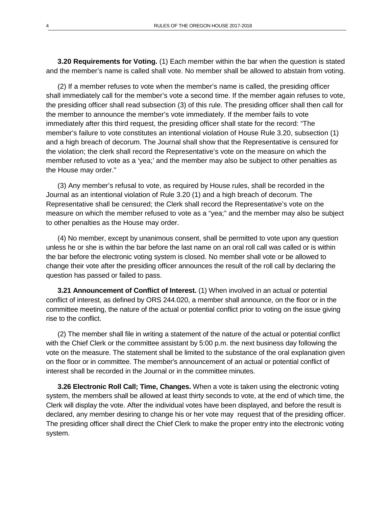**3.20 Requirements for Voting.** (1) Each member within the bar when the question is stated and the member's name is called shall vote. No member shall be allowed to abstain from voting.

(2) If a member refuses to vote when the member's name is called, the presiding officer shall immediately call for the member's vote a second time. If the member again refuses to vote, the presiding officer shall read subsection (3) of this rule. The presiding officer shall then call for the member to announce the member's vote immediately. If the member fails to vote immediately after this third request, the presiding officer shall state for the record: "The member's failure to vote constitutes an intentional violation of House Rule 3.20, subsection (1) and a high breach of decorum. The Journal shall show that the Representative is censured for the violation; the clerk shall record the Representative's vote on the measure on which the member refused to vote as a 'yea;' and the member may also be subject to other penalties as the House may order."

(3) Any member's refusal to vote, as required by House rules, shall be recorded in the Journal as an intentional violation of Rule 3.20 (1) and a high breach of decorum. The Representative shall be censured; the Clerk shall record the Representative's vote on the measure on which the member refused to vote as a "yea;" and the member may also be subject to other penalties as the House may order.

(4) No member, except by unanimous consent, shall be permitted to vote upon any question unless he or she is within the bar before the last name on an oral roll call was called or is within the bar before the electronic voting system is closed. No member shall vote or be allowed to change their vote after the presiding officer announces the result of the roll call by declaring the question has passed or failed to pass.

**3.21 Announcement of Conflict of Interest.** (1) When involved in an actual or potential conflict of interest, as defined by ORS 244.020, a member shall announce, on the floor or in the committee meeting, the nature of the actual or potential conflict prior to voting on the issue giving rise to the conflict.

(2) The member shall file in writing a statement of the nature of the actual or potential conflict with the Chief Clerk or the committee assistant by 5:00 p.m. the next business day following the vote on the measure. The statement shall be limited to the substance of the oral explanation given on the floor or in committee. The member's announcement of an actual or potential conflict of interest shall be recorded in the Journal or in the committee minutes.

**3.26 Electronic Roll Call; Time, Changes.** When a vote is taken using the electronic voting system, the members shall be allowed at least thirty seconds to vote, at the end of which time, the Clerk will display the vote. After the individual votes have been displayed, and before the result is declared, any member desiring to change his or her vote may request that of the presiding officer. The presiding officer shall direct the Chief Clerk to make the proper entry into the electronic voting system.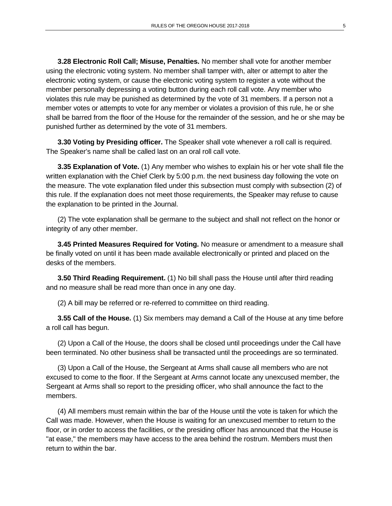**3.28 Electronic Roll Call; Misuse, Penalties.** No member shall vote for another member using the electronic voting system. No member shall tamper with, alter or attempt to alter the electronic voting system, or cause the electronic voting system to register a vote without the member personally depressing a voting button during each roll call vote. Any member who violates this rule may be punished as determined by the vote of 31 members. If a person not a member votes or attempts to vote for any member or violates a provision of this rule, he or she shall be barred from the floor of the House for the remainder of the session, and he or she may be punished further as determined by the vote of 31 members.

**3.30 Voting by Presiding officer.** The Speaker shall vote whenever a roll call is required. The Speaker's name shall be called last on an oral roll call vote.

**3.35 Explanation of Vote.** (1) Any member who wishes to explain his or her vote shall file the written explanation with the Chief Clerk by 5:00 p.m. the next business day following the vote on the measure. The vote explanation filed under this subsection must comply with subsection (2) of this rule. If the explanation does not meet those requirements, the Speaker may refuse to cause the explanation to be printed in the Journal.

(2) The vote explanation shall be germane to the subject and shall not reflect on the honor or integrity of any other member.

**3.45 Printed Measures Required for Voting.** No measure or amendment to a measure shall be finally voted on until it has been made available electronically or printed and placed on the desks of the members.

**3.50 Third Reading Requirement.** (1) No bill shall pass the House until after third reading and no measure shall be read more than once in any one day.

(2) A bill may be referred or re-referred to committee on third reading.

**3.55 Call of the House.** (1) Six members may demand a Call of the House at any time before a roll call has begun.

(2) Upon a Call of the House, the doors shall be closed until proceedings under the Call have been terminated. No other business shall be transacted until the proceedings are so terminated.

(3) Upon a Call of the House, the Sergeant at Arms shall cause all members who are not excused to come to the floor. If the Sergeant at Arms cannot locate any unexcused member, the Sergeant at Arms shall so report to the presiding officer, who shall announce the fact to the members.

(4) All members must remain within the bar of the House until the vote is taken for which the Call was made. However, when the House is waiting for an unexcused member to return to the floor, or in order to access the facilities, or the presiding officer has announced that the House is "at ease," the members may have access to the area behind the rostrum. Members must then return to within the bar.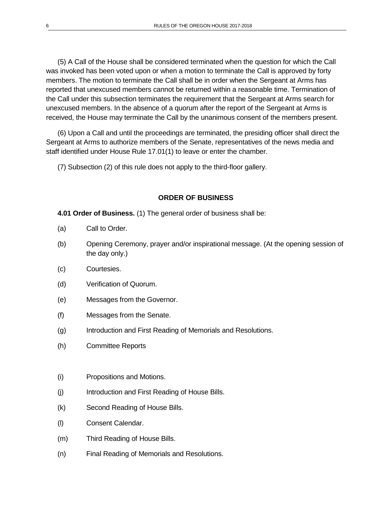(5) A Call of the House shall be considered terminated when the question for which the Call was invoked has been voted upon or when a motion to terminate the Call is approved by forty members. The motion to terminate the Call shall be in order when the Sergeant at Arms has reported that unexcused members cannot be returned within a reasonable time. Termination of the Call under this subsection terminates the requirement that the Sergeant at Arms search for unexcused members. In the absence of a quorum after the report of the Sergeant at Arms is received, the House may terminate the Call by the unanimous consent of the members present.

(6) Upon a Call and until the proceedings are terminated, the presiding officer shall direct the Sergeant at Arms to authorize members of the Senate, representatives of the news media and staff identified under House Rule 17.01(1) to leave or enter the chamber.

(7) Subsection (2) of this rule does not apply to the third-floor gallery.

#### **ORDER OF BUSINESS**

**4.01 Order of Business.** (1) The general order of business shall be:

- (a) Call to Order.
- (b) Opening Ceremony, prayer and/or inspirational message. (At the opening session of the day only.)
- (c) Courtesies.
- (d) Verification of Quorum.
- (e) Messages from the Governor.
- (f) Messages from the Senate.
- (g) Introduction and First Reading of Memorials and Resolutions.
- (h) Committee Reports
- (i) Propositions and Motions.
- (j) Introduction and First Reading of House Bills.
- (k) Second Reading of House Bills.
- (l) Consent Calendar.
- (m) Third Reading of House Bills.
- (n) Final Reading of Memorials and Resolutions.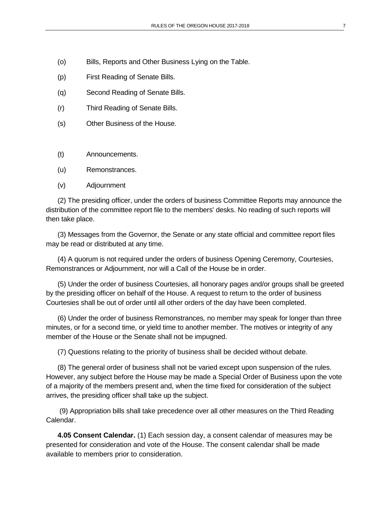- (o) Bills, Reports and Other Business Lying on the Table.
- (p) First Reading of Senate Bills.
- (q) Second Reading of Senate Bills.
- (r) Third Reading of Senate Bills.
- (s) Other Business of the House.
- (t) Announcements.
- (u) Remonstrances.
- (v) Adjournment

(2) The presiding officer, under the orders of business Committee Reports may announce the distribution of the committee report file to the members' desks. No reading of such reports will then take place.

(3) Messages from the Governor, the Senate or any state official and committee report files may be read or distributed at any time.

(4) A quorum is not required under the orders of business Opening Ceremony, Courtesies, Remonstrances or Adjournment, nor will a Call of the House be in order.

(5) Under the order of business Courtesies, all honorary pages and/or groups shall be greeted by the presiding officer on behalf of the House. A request to return to the order of business Courtesies shall be out of order until all other orders of the day have been completed.

(6) Under the order of business Remonstrances*,* no member may speak for longer than three minutes, or for a second time, or yield time to another member. The motives or integrity of any member of the House or the Senate shall not be impugned.

(7) Questions relating to the priority of business shall be decided without debate.

(8) The general order of business shall not be varied except upon suspension of the rules. However, any subject before the House may be made a Special Order of Business upon the vote of a majority of the members present and, when the time fixed for consideration of the subject arrives, the presiding officer shall take up the subject.

(9) Appropriation bills shall take precedence over all other measures on the Third Reading Calendar.

**4.05 Consent Calendar.** (1) Each session day, a consent calendar of measures may be presented for consideration and vote of the House. The consent calendar shall be made available to members prior to consideration.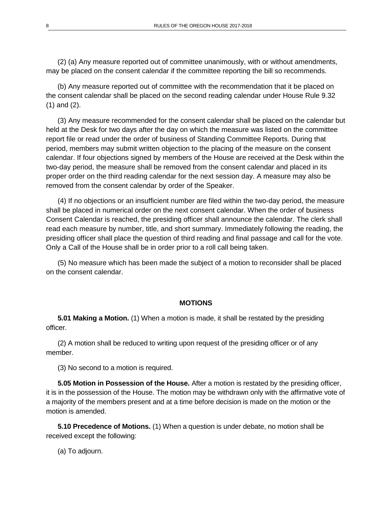(2) (a) Any measure reported out of committee unanimously, with or without amendments, may be placed on the consent calendar if the committee reporting the bill so recommends.

(b) Any measure reported out of committee with the recommendation that it be placed on the consent calendar shall be placed on the second reading calendar under House Rule 9.32 (1) and (2).

(3) Any measure recommended for the consent calendar shall be placed on the calendar but held at the Desk for two days after the day on which the measure was listed on the committee report file or read under the order of business of Standing Committee Reports. During that period, members may submit written objection to the placing of the measure on the consent calendar. If four objections signed by members of the House are received at the Desk within the two-day period, the measure shall be removed from the consent calendar and placed in its proper order on the third reading calendar for the next session day. A measure may also be removed from the consent calendar by order of the Speaker.

(4) If no objections or an insufficient number are filed within the two-day period, the measure shall be placed in numerical order on the next consent calendar. When the order of business Consent Calendar is reached, the presiding officer shall announce the calendar. The clerk shall read each measure by number, title, and short summary. Immediately following the reading, the presiding officer shall place the question of third reading and final passage and call for the vote. Only a Call of the House shall be in order prior to a roll call being taken.

(5) No measure which has been made the subject of a motion to reconsider shall be placed on the consent calendar.

#### **MOTIONS**

**5.01 Making a Motion.** (1) When a motion is made, it shall be restated by the presiding officer.

(2) A motion shall be reduced to writing upon request of the presiding officer or of any member.

(3) No second to a motion is required.

**5.05 Motion in Possession of the House.** After a motion is restated by the presiding officer, it is in the possession of the House. The motion may be withdrawn only with the affirmative vote of a majority of the members present and at a time before decision is made on the motion or the motion is amended.

**5.10 Precedence of Motions.** (1) When a question is under debate, no motion shall be received except the following:

(a) To adjourn.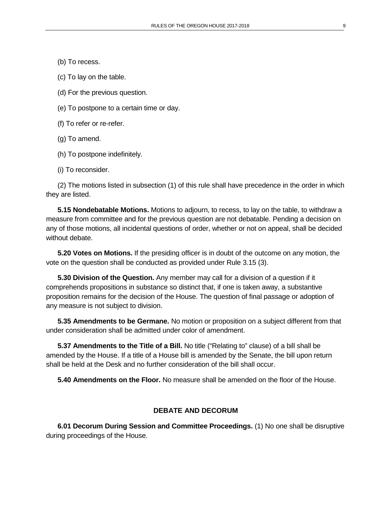(b) To recess.

(c) To lay on the table.

(d) For the previous question.

(e) To postpone to a certain time or day.

(f) To refer or re-refer.

(g) To amend.

(h) To postpone indefinitely.

(i) To reconsider.

(2) The motions listed in subsection (1) of this rule shall have precedence in the order in which they are listed.

**5.15 Nondebatable Motions.** Motions to adjourn, to recess, to lay on the table, to withdraw a measure from committee and for the previous question are not debatable. Pending a decision on any of those motions, all incidental questions of order, whether or not on appeal, shall be decided without debate.

**5.20 Votes on Motions.** If the presiding officer is in doubt of the outcome on any motion, the vote on the question shall be conducted as provided under Rule 3.15 (3).

**5.30 Division of the Question.** Any member may call for a division of a question if it comprehends propositions in substance so distinct that, if one is taken away, a substantive proposition remains for the decision of the House. The question of final passage or adoption of any measure is not subject to division.

**5.35 Amendments to be Germane.** No motion or proposition on a subject different from that under consideration shall be admitted under color of amendment.

**5.37 Amendments to the Title of a Bill.** No title ("Relating to" clause) of a bill shall be amended by the House. If a title of a House bill is amended by the Senate, the bill upon return shall be held at the Desk and no further consideration of the bill shall occur.

**5.40 Amendments on the Floor.** No measure shall be amended on the floor of the House.

#### **DEBATE AND DECORUM**

**6.01 Decorum During Session and Committee Proceedings.** (1) No one shall be disruptive during proceedings of the House.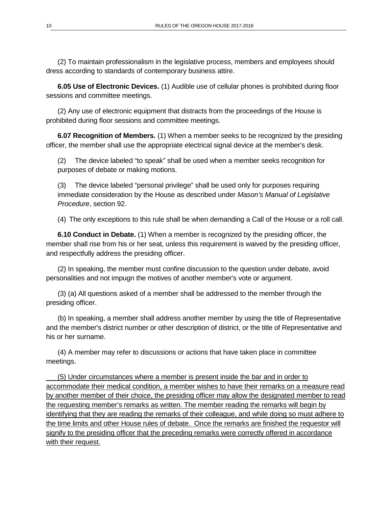(2) To maintain professionalism in the legislative process, members and employees should dress according to standards of contemporary business attire.

**6.05 Use of Electronic Devices.** (1) Audible use of cellular phones is prohibited during floor sessions and committee meetings.

(2) Any use of electronic equipment that distracts from the proceedings of the House is prohibited during floor sessions and committee meetings.

**6.07 Recognition of Members.** (1) When a member seeks to be recognized by the presiding officer, the member shall use the appropriate electrical signal device at the member's desk.

(2) The device labeled "to speak" shall be used when a member seeks recognition for purposes of debate or making motions.

(3) The device labeled "personal privilege" shall be used only for purposes requiring immediate consideration by the House as described under *Mason's Manual of Legislative Procedure*, section 92.

(4) The only exceptions to this rule shall be when demanding a Call of the House or a roll call.

**6.10 Conduct in Debate.** (1) When a member is recognized by the presiding officer, the member shall rise from his or her seat, unless this requirement is waived by the presiding officer, and respectfully address the presiding officer.

(2) In speaking, the member must confine discussion to the question under debate, avoid personalities and not impugn the motives of another member's vote or argument.

(3) (a) All questions asked of a member shall be addressed to the member through the presiding officer.

(b) In speaking, a member shall address another member by using the title of Representative and the member's district number or other description of district, or the title of Representative and his or her surname.

(4) A member may refer to discussions or actions that have taken place in committee meetings.

(5) Under circumstances where a member is present inside the bar and in order to accommodate their medical condition, a member wishes to have their remarks on a measure read by another member of their choice, the presiding officer may allow the designated member to read the requesting member's remarks as written. The member reading the remarks will begin by identifying that they are reading the remarks of their colleague, and while doing so must adhere to the time limits and other House rules of debate. Once the remarks are finished the requestor will signify to the presiding officer that the preceding remarks were correctly offered in accordance with their request.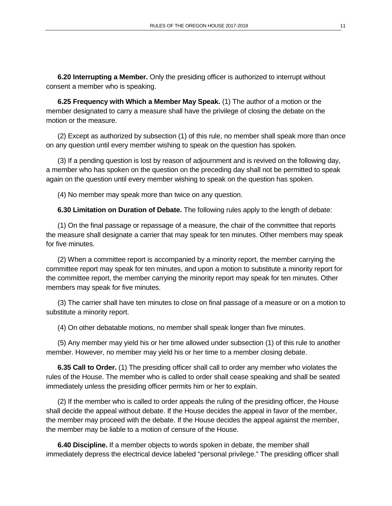**6.20 Interrupting a Member.** Only the presiding officer is authorized to interrupt without consent a member who is speaking.

**6.25 Frequency with Which a Member May Speak.** (1) The author of a motion or the member designated to carry a measure shall have the privilege of closing the debate on the motion or the measure.

(2) Except as authorized by subsection (1) of this rule, no member shall speak more than once on any question until every member wishing to speak on the question has spoken.

(3) If a pending question is lost by reason of adjournment and is revived on the following day, a member who has spoken on the question on the preceding day shall not be permitted to speak again on the question until every member wishing to speak on the question has spoken.

(4) No member may speak more than twice on any question.

**6.30 Limitation on Duration of Debate.** The following rules apply to the length of debate:

(1) On the final passage or repassage of a measure, the chair of the committee that reports the measure shall designate a carrier that may speak for ten minutes. Other members may speak for five minutes.

(2) When a committee report is accompanied by a minority report, the member carrying the committee report may speak for ten minutes, and upon a motion to substitute a minority report for the committee report, the member carrying the minority report may speak for ten minutes. Other members may speak for five minutes.

(3) The carrier shall have ten minutes to close on final passage of a measure or on a motion to substitute a minority report.

(4) On other debatable motions, no member shall speak longer than five minutes.

(5) Any member may yield his or her time allowed under subsection (1) of this rule to another member. However, no member may yield his or her time to a member closing debate.

**6.35 Call to Order.** (1) The presiding officer shall call to order any member who violates the rules of the House. The member who is called to order shall cease speaking and shall be seated immediately unless the presiding officer permits him or her to explain.

(2) If the member who is called to order appeals the ruling of the presiding officer, the House shall decide the appeal without debate. If the House decides the appeal in favor of the member, the member may proceed with the debate. If the House decides the appeal against the member, the member may be liable to a motion of censure of the House.

**6.40 Discipline.** If a member objects to words spoken in debate, the member shall immediately depress the electrical device labeled "personal privilege." The presiding officer shall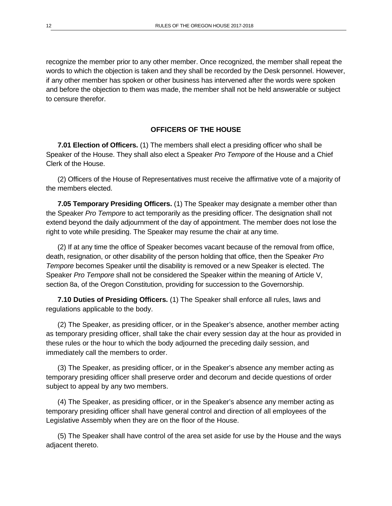recognize the member prior to any other member. Once recognized, the member shall repeat the words to which the objection is taken and they shall be recorded by the Desk personnel. However, if any other member has spoken or other business has intervened after the words were spoken and before the objection to them was made, the member shall not be held answerable or subject to censure therefor.

#### **OFFICERS OF THE HOUSE**

**7.01 Election of Officers.** (1) The members shall elect a presiding officer who shall be Speaker of the House. They shall also elect a Speaker *Pro Tempore* of the House and a Chief Clerk of the House.

(2) Officers of the House of Representatives must receive the affirmative vote of a majority of the members elected.

**7.05 Temporary Presiding Officers.** (1) The Speaker may designate a member other than the Speaker *Pro Tempore* to act temporarily as the presiding officer. The designation shall not extend beyond the daily adjournment of the day of appointment. The member does not lose the right to vote while presiding. The Speaker may resume the chair at any time.

(2) If at any time the office of Speaker becomes vacant because of the removal from office, death, resignation, or other disability of the person holding that office, then the Speaker *Pro Tempore* becomes Speaker until the disability is removed or a new Speaker is elected. The Speaker *Pro Tempore* shall not be considered the Speaker within the meaning of Article V, section 8a, of the Oregon Constitution, providing for succession to the Governorship.

**7.10 Duties of Presiding Officers.** (1) The Speaker shall enforce all rules, laws and regulations applicable to the body.

(2) The Speaker, as presiding officer, or in the Speaker's absence, another member acting as temporary presiding officer, shall take the chair every session day at the hour as provided in these rules or the hour to which the body adjourned the preceding daily session, and immediately call the members to order.

(3) The Speaker, as presiding officer, or in the Speaker's absence any member acting as temporary presiding officer shall preserve order and decorum and decide questions of order subject to appeal by any two members.

(4) The Speaker, as presiding officer, or in the Speaker's absence any member acting as temporary presiding officer shall have general control and direction of all employees of the Legislative Assembly when they are on the floor of the House.

(5) The Speaker shall have control of the area set aside for use by the House and the ways adjacent thereto.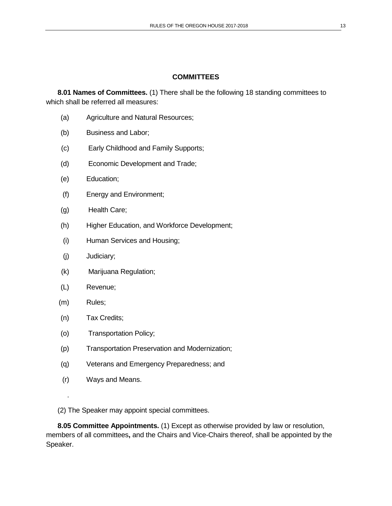## **COMMITTEES**

**8.01 Names of Committees.** (1) There shall be the following 18 standing committees to which shall be referred all measures:

- (a) Agriculture and Natural Resources;
- (b) Business and Labor;
- (c) Early Childhood and Family Supports;
- (d) Economic Development and Trade;
- (e) Education;
- (f) Energy and Environment;
- (g) Health Care;
- (h) Higher Education, and Workforce Development;
- (i) Human Services and Housing;
- (j) Judiciary;
- (k) Marijuana Regulation;
- (L) Revenue;
- (m) Rules;

.

- (n) Tax Credits;
- (o) Transportation Policy;
- (p) Transportation Preservation and Modernization;
- (q) Veterans and Emergency Preparedness; and
- (r) Ways and Means.
- (2) The Speaker may appoint special committees.

**8.05 Committee Appointments.** (1) Except as otherwise provided by law or resolution, members of all committees**,** and the Chairs and Vice-Chairs thereof, shall be appointed by the Speaker.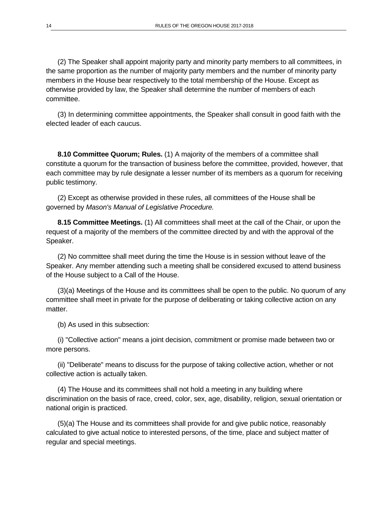(2) The Speaker shall appoint majority party and minority party members to all committees, in the same proportion as the number of majority party members and the number of minority party members in the House bear respectively to the total membership of the House. Except as otherwise provided by law, the Speaker shall determine the number of members of each committee.

(3) In determining committee appointments, the Speaker shall consult in good faith with the elected leader of each caucus.

**8.10 Committee Quorum; Rules.** (1) A majority of the members of a committee shall constitute a quorum for the transaction of business before the committee, provided, however, that each committee may by rule designate a lesser number of its members as a quorum for receiving public testimony.

(2) Except as otherwise provided in these rules, all committees of the House shall be governed by *Mason's Manual of Legislative Procedure.*

**8.15 Committee Meetings.** (1) All committees shall meet at the call of the Chair, or upon the request of a majority of the members of the committee directed by and with the approval of the Speaker.

(2) No committee shall meet during the time the House is in session without leave of the Speaker. Any member attending such a meeting shall be considered excused to attend business of the House subject to a Call of the House.

(3)(a) Meetings of the House and its committees shall be open to the public. No quorum of any committee shall meet in private for the purpose of deliberating or taking collective action on any matter.

(b) As used in this subsection:

(i) "Collective action" means a joint decision, commitment or promise made between two or more persons.

(ii) "Deliberate" means to discuss for the purpose of taking collective action, whether or not collective action is actually taken.

(4) The House and its committees shall not hold a meeting in any building where discrimination on the basis of race, creed, color, sex, age, disability, religion, sexual orientation or national origin is practiced.

(5)(a) The House and its committees shall provide for and give public notice, reasonably calculated to give actual notice to interested persons, of the time, place and subject matter of regular and special meetings.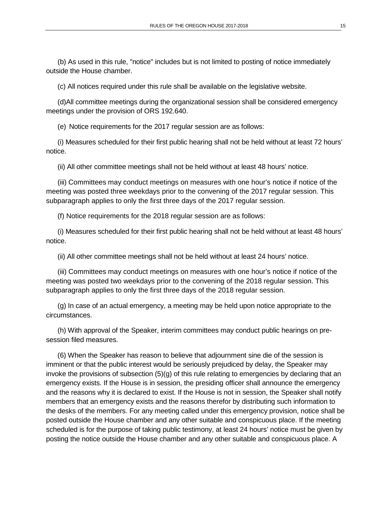(b) As used in this rule, "notice" includes but is not limited to posting of notice immediately outside the House chamber.

(c) All notices required under this rule shall be available on the legislative website.

(d)All committee meetings during the organizational session shall be considered emergency meetings under the provision of ORS 192.640.

(e) Notice requirements for the 2017 regular session are as follows:

(i) Measures scheduled for their first public hearing shall not be held without at least 72 hours' notice.

(ii) All other committee meetings shall not be held without at least 48 hours' notice.

(iii) Committees may conduct meetings on measures with one hour's notice if notice of the meeting was posted three weekdays prior to the convening of the 2017 regular session. This subparagraph applies to only the first three days of the 2017 regular session.

(f) Notice requirements for the 2018 regular session are as follows:

(i) Measures scheduled for their first public hearing shall not be held without at least 48 hours' notice.

(ii) All other committee meetings shall not be held without at least 24 hours' notice.

(iii) Committees may conduct meetings on measures with one hour's notice if notice of the meeting was posted two weekdays prior to the convening of the 2018 regular session. This subparagraph applies to only the first three days of the 2018 regular session.

(g) In case of an actual emergency, a meeting may be held upon notice appropriate to the circumstances.

(h) With approval of the Speaker, interim committees may conduct public hearings on presession filed measures.

(6) When the Speaker has reason to believe that adjournment sine die of the session is imminent or that the public interest would be seriously prejudiced by delay, the Speaker may invoke the provisions of subsection  $(5)(g)$  of this rule relating to emergencies by declaring that an emergency exists. If the House is in session, the presiding officer shall announce the emergency and the reasons why it is declared to exist. If the House is not in session, the Speaker shall notify members that an emergency exists and the reasons therefor by distributing such information to the desks of the members. For any meeting called under this emergency provision, notice shall be posted outside the House chamber and any other suitable and conspicuous place. If the meeting scheduled is for the purpose of taking public testimony, at least 24 hours' notice must be given by posting the notice outside the House chamber and any other suitable and conspicuous place. A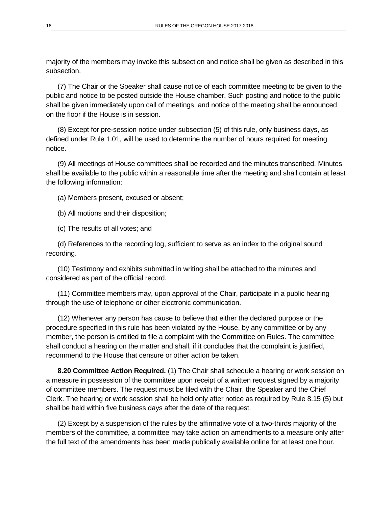majority of the members may invoke this subsection and notice shall be given as described in this subsection.

(7) The Chair or the Speaker shall cause notice of each committee meeting to be given to the public and notice to be posted outside the House chamber. Such posting and notice to the public shall be given immediately upon call of meetings, and notice of the meeting shall be announced on the floor if the House is in session.

(8) Except for pre-session notice under subsection (5) of this rule, only business days, as defined under Rule 1.01, will be used to determine the number of hours required for meeting notice.

(9) All meetings of House committees shall be recorded and the minutes transcribed. Minutes shall be available to the public within a reasonable time after the meeting and shall contain at least the following information:

(a) Members present, excused or absent;

(b) All motions and their disposition;

(c) The results of all votes; and

(d) References to the recording log, sufficient to serve as an index to the original sound recording.

(10) Testimony and exhibits submitted in writing shall be attached to the minutes and considered as part of the official record.

(11) Committee members may, upon approval of the Chair, participate in a public hearing through the use of telephone or other electronic communication.

(12) Whenever any person has cause to believe that either the declared purpose or the procedure specified in this rule has been violated by the House, by any committee or by any member, the person is entitled to file a complaint with the Committee on Rules. The committee shall conduct a hearing on the matter and shall, if it concludes that the complaint is justified, recommend to the House that censure or other action be taken.

**8.20 Committee Action Required.** (1) The Chair shall schedule a hearing or work session on a measure in possession of the committee upon receipt of a written request signed by a majority of committee members. The request must be filed with the Chair, the Speaker and the Chief Clerk. The hearing or work session shall be held only after notice as required by Rule 8.15 (5) but shall be held within five business days after the date of the request.

(2) Except by a suspension of the rules by the affirmative vote of a two-thirds majority of the members of the committee, a committee may take action on amendments to a measure only after the full text of the amendments has been made publically available online for at least one hour.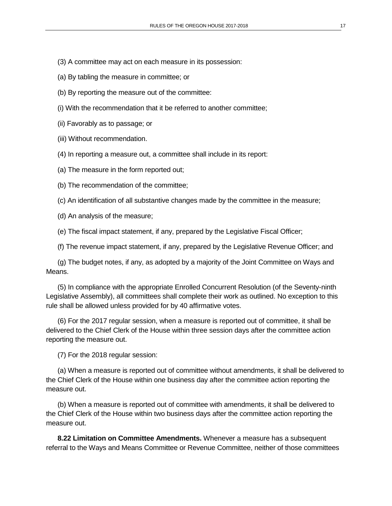- (3) A committee may act on each measure in its possession:
- (a) By tabling the measure in committee; or
- (b) By reporting the measure out of the committee:
- (i) With the recommendation that it be referred to another committee;
- (ii) Favorably as to passage; or
- (iii) Without recommendation.
- (4) In reporting a measure out, a committee shall include in its report:
- (a) The measure in the form reported out;
- (b) The recommendation of the committee;
- (c) An identification of all substantive changes made by the committee in the measure;
- (d) An analysis of the measure;
- (e) The fiscal impact statement, if any, prepared by the Legislative Fiscal Officer;
- (f) The revenue impact statement, if any, prepared by the Legislative Revenue Officer; and

(g) The budget notes, if any, as adopted by a majority of the Joint Committee on Ways and Means.

(5) In compliance with the appropriate Enrolled Concurrent Resolution (of the Seventy-ninth Legislative Assembly), all committees shall complete their work as outlined. No exception to this rule shall be allowed unless provided for by 40 affirmative votes.

(6) For the 2017 regular session, when a measure is reported out of committee, it shall be delivered to the Chief Clerk of the House within three session days after the committee action reporting the measure out.

(7) For the 2018 regular session:

(a) When a measure is reported out of committee without amendments, it shall be delivered to the Chief Clerk of the House within one business day after the committee action reporting the measure out.

(b) When a measure is reported out of committee with amendments, it shall be delivered to the Chief Clerk of the House within two business days after the committee action reporting the measure out.

**8.22 Limitation on Committee Amendments.** Whenever a measure has a subsequent referral to the Ways and Means Committee or Revenue Committee, neither of those committees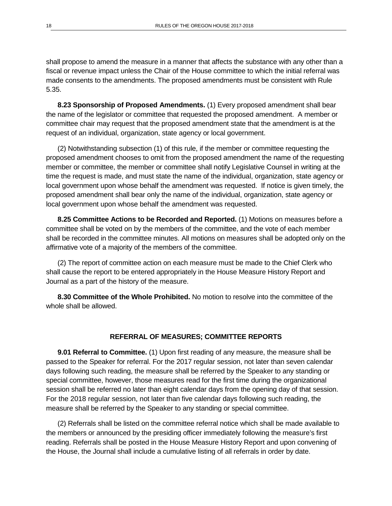shall propose to amend the measure in a manner that affects the substance with any other than a fiscal or revenue impact unless the Chair of the House committee to which the initial referral was made consents to the amendments. The proposed amendments must be consistent with Rule 5.35.

**8.23 Sponsorship of Proposed Amendments.** (1) Every proposed amendment shall bear the name of the legislator or committee that requested the proposed amendment. A member or committee chair may request that the proposed amendment state that the amendment is at the request of an individual, organization, state agency or local government.

(2) Notwithstanding subsection (1) of this rule, if the member or committee requesting the proposed amendment chooses to omit from the proposed amendment the name of the requesting member or committee, the member or committee shall notify Legislative Counsel in writing at the time the request is made, and must state the name of the individual, organization, state agency or local government upon whose behalf the amendment was requested. If notice is given timely, the proposed amendment shall bear only the name of the individual, organization, state agency or local government upon whose behalf the amendment was requested.

**8.25 Committee Actions to be Recorded and Reported.** (1) Motions on measures before a committee shall be voted on by the members of the committee, and the vote of each member shall be recorded in the committee minutes. All motions on measures shall be adopted only on the affirmative vote of a majority of the members of the committee.

(2) The report of committee action on each measure must be made to the Chief Clerk who shall cause the report to be entered appropriately in the House Measure History Report and Journal as a part of the history of the measure.

**8.30 Committee of the Whole Prohibited.** No motion to resolve into the committee of the whole shall be allowed.

#### **REFERRAL OF MEASURES; COMMITTEE REPORTS**

**9.01 Referral to Committee.** (1) Upon first reading of any measure, the measure shall be passed to the Speaker for referral. For the 2017 regular session, not later than seven calendar days following such reading, the measure shall be referred by the Speaker to any standing or special committee, however, those measures read for the first time during the organizational session shall be referred no later than eight calendar days from the opening day of that session. For the 2018 regular session, not later than five calendar days following such reading, the measure shall be referred by the Speaker to any standing or special committee.

(2) Referrals shall be listed on the committee referral notice which shall be made available to the members or announced by the presiding officer immediately following the measure's first reading. Referrals shall be posted in the House Measure History Report and upon convening of the House, the Journal shall include a cumulative listing of all referrals in order by date.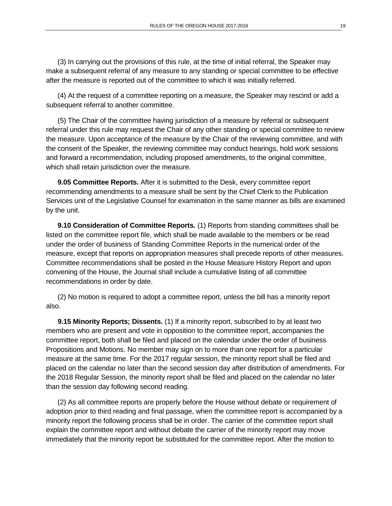(3) In carrying out the provisions of this rule, at the time of initial referral, the Speaker may make a subsequent referral of any measure to any standing or special committee to be effective after the measure is reported out of the committee to which it was initially referred.

(4) At the request of a committee reporting on a measure, the Speaker may rescind or add a subsequent referral to another committee.

(5) The Chair of the committee having jurisdiction of a measure by referral or subsequent referral under this rule may request the Chair of any other standing or special committee to review the measure. Upon acceptance of the measure by the Chair of the reviewing committee, and with the consent of the Speaker, the reviewing committee may conduct hearings, hold work sessions and forward a recommendation, including proposed amendments, to the original committee, which shall retain jurisdiction over the measure.

**9.05 Committee Reports.** After it is submitted to the Desk, every committee report recommending amendments to a measure shall be sent by the Chief Clerk to the Publication Services unit of the Legislative Counsel for examination in the same manner as bills are examined by the unit.

**9.10 Consideration of Committee Reports.** (1) Reports from standing committees shall be listed on the committee report file, which shall be made available to the members or be read under the order of business of Standing Committee Reports in the numerical order of the measure, except that reports on appropriation measures shall precede reports of other measures. Committee recommendations shall be posted in the House Measure History Report and upon convening of the House, the Journal shall include a cumulative listing of all committee recommendations in order by date.

(2) No motion is required to adopt a committee report, unless the bill has a minority report also.

**9.15 Minority Reports; Dissents.** (1) If a minority report, subscribed to by at least two members who are present and vote in opposition to the committee report, accompanies the committee report, both shall be filed and placed on the calendar under the order of business Propositions and Motions. No member may sign on to more than one report for a particular measure at the same time. For the 2017 regular session, the minority report shall be filed and placed on the calendar no later than the second session day after distribution of amendments. For the 2018 Regular Session, the minority report shall be filed and placed on the calendar no later than the session day following second reading.

(2) As all committee reports are properly before the House without debate or requirement of adoption prior to third reading and final passage, when the committee report is accompanied by a minority report the following process shall be in order. The carrier of the committee report shall explain the committee report and without debate the carrier of the minority report may move immediately that the minority report be substituted for the committee report. After the motion to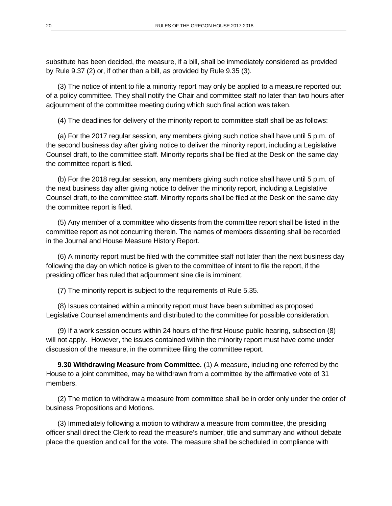substitute has been decided, the measure, if a bill, shall be immediately considered as provided by Rule 9.37 (2) or, if other than a bill, as provided by Rule 9.35 (3).

(3) The notice of intent to file a minority report may only be applied to a measure reported out of a policy committee. They shall notify the Chair and committee staff no later than two hours after adjournment of the committee meeting during which such final action was taken.

(4) The deadlines for delivery of the minority report to committee staff shall be as follows:

(a) For the 2017 regular session, any members giving such notice shall have until 5 p.m. of the second business day after giving notice to deliver the minority report, including a Legislative Counsel draft, to the committee staff. Minority reports shall be filed at the Desk on the same day the committee report is filed.

(b) For the 2018 regular session, any members giving such notice shall have until 5 p.m. of the next business day after giving notice to deliver the minority report, including a Legislative Counsel draft, to the committee staff. Minority reports shall be filed at the Desk on the same day the committee report is filed.

(5) Any member of a committee who dissents from the committee report shall be listed in the committee report as not concurring therein. The names of members dissenting shall be recorded in the Journal and House Measure History Report.

(6) A minority report must be filed with the committee staff not later than the next business day following the day on which notice is given to the committee of intent to file the report, if the presiding officer has ruled that adjournment sine die is imminent.

(7) The minority report is subject to the requirements of Rule 5.35.

(8) Issues contained within a minority report must have been submitted as proposed Legislative Counsel amendments and distributed to the committee for possible consideration.

(9) If a work session occurs within 24 hours of the first House public hearing, subsection (8) will not apply. However, the issues contained within the minority report must have come under discussion of the measure, in the committee filing the committee report.

**9.30 Withdrawing Measure from Committee.** (1) A measure, including one referred by the House to a joint committee, may be withdrawn from a committee by the affirmative vote of 31 members.

(2) The motion to withdraw a measure from committee shall be in order only under the order of business Propositions and Motions.

(3) Immediately following a motion to withdraw a measure from committee, the presiding officer shall direct the Clerk to read the measure's number, title and summary and without debate place the question and call for the vote. The measure shall be scheduled in compliance with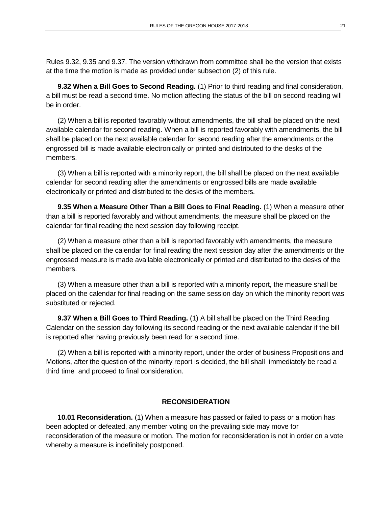Rules 9.32, 9.35 and 9.37. The version withdrawn from committee shall be the version that exists at the time the motion is made as provided under subsection (2) of this rule.

**9.32 When a Bill Goes to Second Reading.** (1) Prior to third reading and final consideration, a bill must be read a second time. No motion affecting the status of the bill on second reading will be in order.

(2) When a bill is reported favorably without amendments, the bill shall be placed on the next available calendar for second reading. When a bill is reported favorably with amendments, the bill shall be placed on the next available calendar for second reading after the amendments or the engrossed bill is made available electronically or printed and distributed to the desks of the members.

(3) When a bill is reported with a minority report, the bill shall be placed on the next available calendar for second reading after the amendments or engrossed bills are made available electronically or printed and distributed to the desks of the members.

**9.35 When a Measure Other Than a Bill Goes to Final Reading.** (1) When a measure other than a bill is reported favorably and without amendments, the measure shall be placed on the calendar for final reading the next session day following receipt.

(2) When a measure other than a bill is reported favorably with amendments, the measure shall be placed on the calendar for final reading the next session day after the amendments or the engrossed measure is made available electronically or printed and distributed to the desks of the members.

(3) When a measure other than a bill is reported with a minority report, the measure shall be placed on the calendar for final reading on the same session day on which the minority report was substituted or rejected.

**9.37 When a Bill Goes to Third Reading.** (1) A bill shall be placed on the Third Reading Calendar on the session day following its second reading or the next available calendar if the bill is reported after having previously been read for a second time.

(2) When a bill is reported with a minority report, under the order of business Propositions and Motions, after the question of the minority report is decided, the bill shall immediately be read a third time and proceed to final consideration.

#### **RECONSIDERATION**

**10.01 Reconsideration.** (1) When a measure has passed or failed to pass or a motion has been adopted or defeated, any member voting on the prevailing side may move for reconsideration of the measure or motion. The motion for reconsideration is not in order on a vote whereby a measure is indefinitely postponed.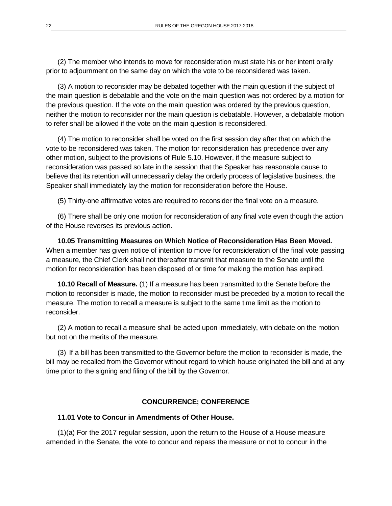(2) The member who intends to move for reconsideration must state his or her intent orally prior to adjournment on the same day on which the vote to be reconsidered was taken.

(3) A motion to reconsider may be debated together with the main question if the subject of the main question is debatable and the vote on the main question was not ordered by a motion for the previous question. If the vote on the main question was ordered by the previous question, neither the motion to reconsider nor the main question is debatable. However, a debatable motion to refer shall be allowed if the vote on the main question is reconsidered.

(4) The motion to reconsider shall be voted on the first session day after that on which the vote to be reconsidered was taken. The motion for reconsideration has precedence over any other motion, subject to the provisions of Rule 5.10. However, if the measure subject to reconsideration was passed so late in the session that the Speaker has reasonable cause to believe that its retention will unnecessarily delay the orderly process of legislative business, the Speaker shall immediately lay the motion for reconsideration before the House.

(5) Thirty-one affirmative votes are required to reconsider the final vote on a measure.

(6) There shall be only one motion for reconsideration of any final vote even though the action of the House reverses its previous action.

**10.05 Transmitting Measures on Which Notice of Reconsideration Has Been Moved.** When a member has given notice of intention to move for reconsideration of the final vote passing a measure, the Chief Clerk shall not thereafter transmit that measure to the Senate until the motion for reconsideration has been disposed of or time for making the motion has expired.

**10.10 Recall of Measure.** (1) If a measure has been transmitted to the Senate before the motion to reconsider is made, the motion to reconsider must be preceded by a motion to recall the measure. The motion to recall a measure is subject to the same time limit as the motion to reconsider.

(2) A motion to recall a measure shall be acted upon immediately, with debate on the motion but not on the merits of the measure.

(3) If a bill has been transmitted to the Governor before the motion to reconsider is made, the bill may be recalled from the Governor without regard to which house originated the bill and at any time prior to the signing and filing of the bill by the Governor.

## **CONCURRENCE; CONFERENCE**

#### **11.01 Vote to Concur in Amendments of Other House.**

(1)(a) For the 2017 regular session, upon the return to the House of a House measure amended in the Senate, the vote to concur and repass the measure or not to concur in the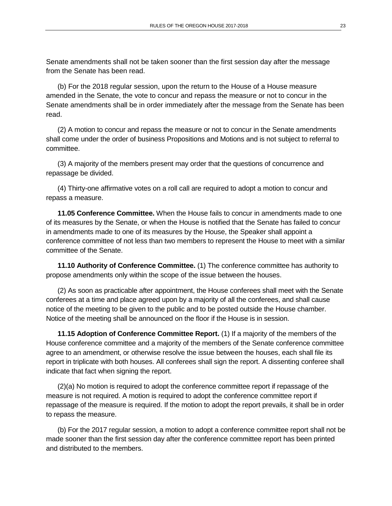Senate amendments shall not be taken sooner than the first session day after the message from the Senate has been read.

(b) For the 2018 regular session, upon the return to the House of a House measure amended in the Senate, the vote to concur and repass the measure or not to concur in the Senate amendments shall be in order immediately after the message from the Senate has been read.

(2) A motion to concur and repass the measure or not to concur in the Senate amendments shall come under the order of business Propositions and Motions and is not subject to referral to committee.

(3) A majority of the members present may order that the questions of concurrence and repassage be divided.

(4) Thirty-one affirmative votes on a roll call are required to adopt a motion to concur and repass a measure.

**11.05 Conference Committee.** When the House fails to concur in amendments made to one of its measures by the Senate, or when the House is notified that the Senate has failed to concur in amendments made to one of its measures by the House, the Speaker shall appoint a conference committee of not less than two members to represent the House to meet with a similar committee of the Senate.

**11.10 Authority of Conference Committee.** (1) The conference committee has authority to propose amendments only within the scope of the issue between the houses.

(2) As soon as practicable after appointment, the House conferees shall meet with the Senate conferees at a time and place agreed upon by a majority of all the conferees, and shall cause notice of the meeting to be given to the public and to be posted outside the House chamber. Notice of the meeting shall be announced on the floor if the House is in session.

**11.15 Adoption of Conference Committee Report.** (1) If a majority of the members of the House conference committee and a majority of the members of the Senate conference committee agree to an amendment, or otherwise resolve the issue between the houses, each shall file its report in triplicate with both houses. All conferees shall sign the report. A dissenting conferee shall indicate that fact when signing the report.

(2)(a) No motion is required to adopt the conference committee report if repassage of the measure is not required. A motion is required to adopt the conference committee report if repassage of the measure is required. If the motion to adopt the report prevails, it shall be in order to repass the measure.

(b) For the 2017 regular session, a motion to adopt a conference committee report shall not be made sooner than the first session day after the conference committee report has been printed and distributed to the members.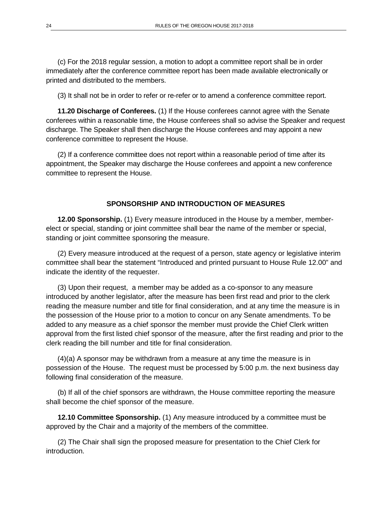(c) For the 2018 regular session, a motion to adopt a committee report shall be in order immediately after the conference committee report has been made available electronically or printed and distributed to the members.

(3) It shall not be in order to refer or re-refer or to amend a conference committee report.

**11.20 Discharge of Conferees.** (1) If the House conferees cannot agree with the Senate conferees within a reasonable time, the House conferees shall so advise the Speaker and request discharge. The Speaker shall then discharge the House conferees and may appoint a new conference committee to represent the House.

(2) If a conference committee does not report within a reasonable period of time after its appointment, the Speaker may discharge the House conferees and appoint a new conference committee to represent the House.

#### **SPONSORSHIP AND INTRODUCTION OF MEASURES**

**12.00 Sponsorship.** (1) Every measure introduced in the House by a member, memberelect or special, standing or joint committee shall bear the name of the member or special, standing or joint committee sponsoring the measure.

(2) Every measure introduced at the request of a person, state agency or legislative interim committee shall bear the statement "Introduced and printed pursuant to House Rule 12.00" and indicate the identity of the requester.

(3) Upon their request, a member may be added as a co-sponsor to any measure introduced by another legislator, after the measure has been first read and prior to the clerk reading the measure number and title for final consideration, and at any time the measure is in the possession of the House prior to a motion to concur on any Senate amendments. To be added to any measure as a chief sponsor the member must provide the Chief Clerk written approval from the first listed chief sponsor of the measure, after the first reading and prior to the clerk reading the bill number and title for final consideration.

(4)(a) A sponsor may be withdrawn from a measure at any time the measure is in possession of the House. The request must be processed by 5:00 p.m. the next business day following final consideration of the measure.

(b) If all of the chief sponsors are withdrawn, the House committee reporting the measure shall become the chief sponsor of the measure.

**12.10 Committee Sponsorship.** (1) Any measure introduced by a committee must be approved by the Chair and a majority of the members of the committee.

(2) The Chair shall sign the proposed measure for presentation to the Chief Clerk for introduction.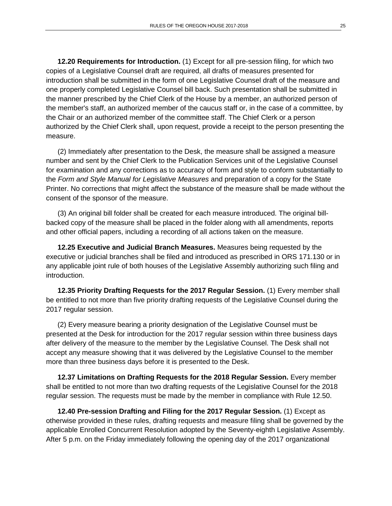**12.20 Requirements for Introduction.** (1) Except for all pre-session filing, for which two copies of a Legislative Counsel draft are required, all drafts of measures presented for introduction shall be submitted in the form of one Legislative Counsel draft of the measure and one properly completed Legislative Counsel bill back. Such presentation shall be submitted in the manner prescribed by the Chief Clerk of the House by a member, an authorized person of the member's staff, an authorized member of the caucus staff or, in the case of a committee, by the Chair or an authorized member of the committee staff. The Chief Clerk or a person authorized by the Chief Clerk shall, upon request, provide a receipt to the person presenting the measure.

(2) Immediately after presentation to the Desk, the measure shall be assigned a measure number and sent by the Chief Clerk to the Publication Services unit of the Legislative Counsel for examination and any corrections as to accuracy of form and style to conform substantially to the *Form and Style Manual for Legislative Measures* and preparation of a copy for the State Printer. No corrections that might affect the substance of the measure shall be made without the consent of the sponsor of the measure.

(3) An original bill folder shall be created for each measure introduced. The original billbacked copy of the measure shall be placed in the folder along with all amendments, reports and other official papers, including a recording of all actions taken on the measure.

**12.25 Executive and Judicial Branch Measures.** Measures being requested by the executive or judicial branches shall be filed and introduced as prescribed in ORS 171.130 or in any applicable joint rule of both houses of the Legislative Assembly authorizing such filing and introduction.

**12.35 Priority Drafting Requests for the 2017 Regular Session.** (1) Every member shall be entitled to not more than five priority drafting requests of the Legislative Counsel during the 2017 regular session.

(2) Every measure bearing a priority designation of the Legislative Counsel must be presented at the Desk for introduction for the 2017 regular session within three business days after delivery of the measure to the member by the Legislative Counsel. The Desk shall not accept any measure showing that it was delivered by the Legislative Counsel to the member more than three business days before it is presented to the Desk.

**12.37 Limitations on Drafting Requests for the 2018 Regular Session.** Every member shall be entitled to not more than two drafting requests of the Legislative Counsel for the 2018 regular session. The requests must be made by the member in compliance with Rule 12.50.

**12.40 Pre-session Drafting and Filing for the 2017 Regular Session.** (1) Except as otherwise provided in these rules, drafting requests and measure filing shall be governed by the applicable Enrolled Concurrent Resolution adopted by the Seventy-eighth Legislative Assembly. After 5 p.m. on the Friday immediately following the opening day of the 2017 organizational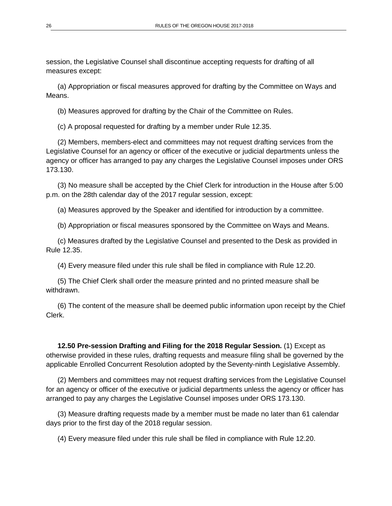session, the Legislative Counsel shall discontinue accepting requests for drafting of all measures except:

(a) Appropriation or fiscal measures approved for drafting by the Committee on Ways and Means.

(b) Measures approved for drafting by the Chair of the Committee on Rules.

(c) A proposal requested for drafting by a member under Rule 12.35.

(2) Members, members-elect and committees may not request drafting services from the Legislative Counsel for an agency or officer of the executive or judicial departments unless the agency or officer has arranged to pay any charges the Legislative Counsel imposes under ORS 173.130.

(3) No measure shall be accepted by the Chief Clerk for introduction in the House after 5:00 p.m. on the 28th calendar day of the 2017 regular session, except:

(a) Measures approved by the Speaker and identified for introduction by a committee.

(b) Appropriation or fiscal measures sponsored by the Committee on Ways and Means.

(c) Measures drafted by the Legislative Counsel and presented to the Desk as provided in Rule 12.35.

(4) Every measure filed under this rule shall be filed in compliance with Rule 12.20.

(5) The Chief Clerk shall order the measure printed and no printed measure shall be withdrawn.

(6) The content of the measure shall be deemed public information upon receipt by the Chief Clerk.

**12.50 Pre-session Drafting and Filing for the 2018 Regular Session.** (1) Except as otherwise provided in these rules, drafting requests and measure filing shall be governed by the applicable Enrolled Concurrent Resolution adopted by the Seventy-ninth Legislative Assembly.

(2) Members and committees may not request drafting services from the Legislative Counsel for an agency or officer of the executive or judicial departments unless the agency or officer has arranged to pay any charges the Legislative Counsel imposes under ORS 173.130.

(3) Measure drafting requests made by a member must be made no later than 61 calendar days prior to the first day of the 2018 regular session.

(4) Every measure filed under this rule shall be filed in compliance with Rule 12.20.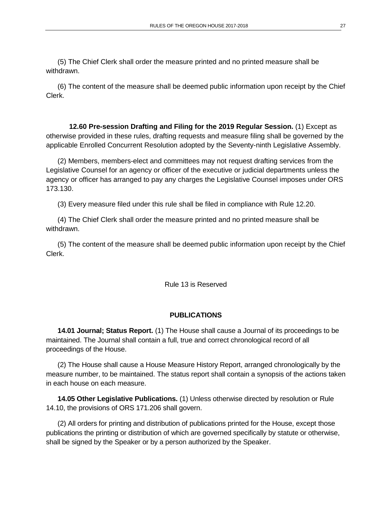(5) The Chief Clerk shall order the measure printed and no printed measure shall be withdrawn.

(6) The content of the measure shall be deemed public information upon receipt by the Chief Clerk.

**12.60 Pre-session Drafting and Filing for the 2019 Regular Session.** (1) Except as otherwise provided in these rules, drafting requests and measure filing shall be governed by the applicable Enrolled Concurrent Resolution adopted by the Seventy-ninth Legislative Assembly.

(2) Members, members-elect and committees may not request drafting services from the Legislative Counsel for an agency or officer of the executive or judicial departments unless the agency or officer has arranged to pay any charges the Legislative Counsel imposes under ORS 173.130.

(3) Every measure filed under this rule shall be filed in compliance with Rule 12.20.

(4) The Chief Clerk shall order the measure printed and no printed measure shall be withdrawn.

(5) The content of the measure shall be deemed public information upon receipt by the Chief Clerk.

Rule 13 is Reserved

## **PUBLICATIONS**

**14.01 Journal; Status Report.** (1) The House shall cause a Journal of its proceedings to be maintained. The Journal shall contain a full, true and correct chronological record of all proceedings of the House.

(2) The House shall cause a House Measure History Report, arranged chronologically by the measure number, to be maintained. The status report shall contain a synopsis of the actions taken in each house on each measure.

**14.05 Other Legislative Publications.** (1) Unless otherwise directed by resolution or Rule 14.10, the provisions of ORS 171.206 shall govern.

(2) All orders for printing and distribution of publications printed for the House, except those publications the printing or distribution of which are governed specifically by statute or otherwise, shall be signed by the Speaker or by a person authorized by the Speaker.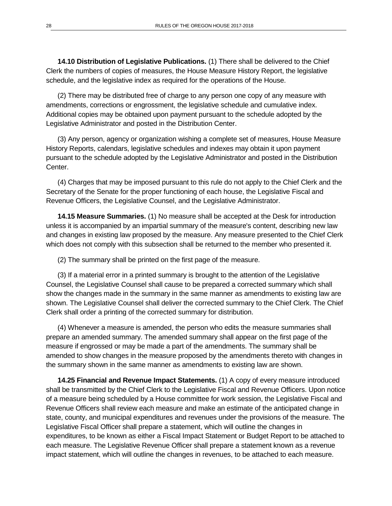**14.10 Distribution of Legislative Publications.** (1) There shall be delivered to the Chief Clerk the numbers of copies of measures, the House Measure History Report, the legislative schedule, and the legislative index as required for the operations of the House.

(2) There may be distributed free of charge to any person one copy of any measure with amendments, corrections or engrossment, the legislative schedule and cumulative index. Additional copies may be obtained upon payment pursuant to the schedule adopted by the Legislative Administrator and posted in the Distribution Center.

(3) Any person, agency or organization wishing a complete set of measures, House Measure History Reports, calendars, legislative schedules and indexes may obtain it upon payment pursuant to the schedule adopted by the Legislative Administrator and posted in the Distribution Center.

(4) Charges that may be imposed pursuant to this rule do not apply to the Chief Clerk and the Secretary of the Senate for the proper functioning of each house, the Legislative Fiscal and Revenue Officers, the Legislative Counsel, and the Legislative Administrator.

**14.15 Measure Summaries.** (1) No measure shall be accepted at the Desk for introduction unless it is accompanied by an impartial summary of the measure's content, describing new law and changes in existing law proposed by the measure. Any measure presented to the Chief Clerk which does not comply with this subsection shall be returned to the member who presented it.

(2) The summary shall be printed on the first page of the measure.

(3) If a material error in a printed summary is brought to the attention of the Legislative Counsel, the Legislative Counsel shall cause to be prepared a corrected summary which shall show the changes made in the summary in the same manner as amendments to existing law are shown. The Legislative Counsel shall deliver the corrected summary to the Chief Clerk. The Chief Clerk shall order a printing of the corrected summary for distribution.

(4) Whenever a measure is amended, the person who edits the measure summaries shall prepare an amended summary. The amended summary shall appear on the first page of the measure if engrossed or may be made a part of the amendments. The summary shall be amended to show changes in the measure proposed by the amendments thereto with changes in the summary shown in the same manner as amendments to existing law are shown.

**14.25 Financial and Revenue Impact Statements.** (1) A copy of every measure introduced shall be transmitted by the Chief Clerk to the Legislative Fiscal and Revenue Officers. Upon notice of a measure being scheduled by a House committee for work session, the Legislative Fiscal and Revenue Officers shall review each measure and make an estimate of the anticipated change in state, county, and municipal expenditures and revenues under the provisions of the measure. The Legislative Fiscal Officer shall prepare a statement, which will outline the changes in expenditures, to be known as either a Fiscal Impact Statement or Budget Report to be attached to each measure. The Legislative Revenue Officer shall prepare a statement known as a revenue impact statement, which will outline the changes in revenues, to be attached to each measure.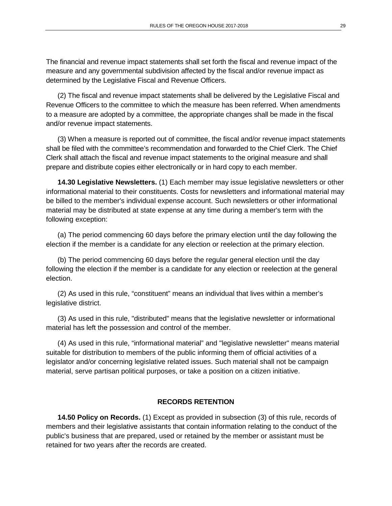The financial and revenue impact statements shall set forth the fiscal and revenue impact of the measure and any governmental subdivision affected by the fiscal and/or revenue impact as determined by the Legislative Fiscal and Revenue Officers.

(2) The fiscal and revenue impact statements shall be delivered by the Legislative Fiscal and Revenue Officers to the committee to which the measure has been referred. When amendments to a measure are adopted by a committee, the appropriate changes shall be made in the fiscal and/or revenue impact statements.

(3) When a measure is reported out of committee, the fiscal and/or revenue impact statements shall be filed with the committee's recommendation and forwarded to the Chief Clerk. The Chief Clerk shall attach the fiscal and revenue impact statements to the original measure and shall prepare and distribute copies either electronically or in hard copy to each member.

**14.30 Legislative Newsletters.** (1) Each member may issue legislative newsletters or other informational material to their constituents. Costs for newsletters and informational material may be billed to the member's individual expense account. Such newsletters or other informational material may be distributed at state expense at any time during a member's term with the following exception:

(a) The period commencing 60 days before the primary election until the day following the election if the member is a candidate for any election or reelection at the primary election.

(b) The period commencing 60 days before the regular general election until the day following the election if the member is a candidate for any election or reelection at the general election.

(2) As used in this rule, "constituent" means an individual that lives within a member's legislative district.

(3) As used in this rule, "distributed" means that the legislative newsletter or informational material has left the possession and control of the member.

(4) As used in this rule, "informational material" and "legislative newsletter" means material suitable for distribution to members of the public informing them of official activities of a legislator and/or concerning legislative related issues. Such material shall not be campaign material, serve partisan political purposes, or take a position on a citizen initiative.

#### **RECORDS RETENTION**

**14.50 Policy on Records.** (1) Except as provided in subsection (3) of this rule, records of members and their legislative assistants that contain information relating to the conduct of the public's business that are prepared, used or retained by the member or assistant must be retained for two years after the records are created.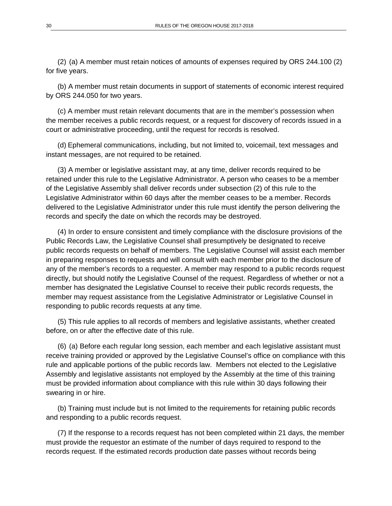(2) (a) A member must retain notices of amounts of expenses required by ORS 244.100 (2) for five years.

(b) A member must retain documents in support of statements of economic interest required by ORS 244.050 for two years.

(c) A member must retain relevant documents that are in the member's possession when the member receives a public records request, or a request for discovery of records issued in a court or administrative proceeding, until the request for records is resolved.

(d) Ephemeral communications, including, but not limited to, voicemail, text messages and instant messages, are not required to be retained.

(3) A member or legislative assistant may, at any time, deliver records required to be retained under this rule to the Legislative Administrator. A person who ceases to be a member of the Legislative Assembly shall deliver records under subsection (2) of this rule to the Legislative Administrator within 60 days after the member ceases to be a member. Records delivered to the Legislative Administrator under this rule must identify the person delivering the records and specify the date on which the records may be destroyed.

(4) In order to ensure consistent and timely compliance with the disclosure provisions of the Public Records Law, the Legislative Counsel shall presumptively be designated to receive public records requests on behalf of members. The Legislative Counsel will assist each member in preparing responses to requests and will consult with each member prior to the disclosure of any of the member's records to a requester. A member may respond to a public records request directly, but should notify the Legislative Counsel of the request. Regardless of whether or not a member has designated the Legislative Counsel to receive their public records requests, the member may request assistance from the Legislative Administrator or Legislative Counsel in responding to public records requests at any time.

(5) This rule applies to all records of members and legislative assistants, whether created before, on or after the effective date of this rule.

(6) (a) Before each regular long session, each member and each legislative assistant must receive training provided or approved by the Legislative Counsel's office on compliance with this rule and applicable portions of the public records law. Members not elected to the Legislative Assembly and legislative assistants not employed by the Assembly at the time of this training must be provided information about compliance with this rule within 30 days following their swearing in or hire.

(b) Training must include but is not limited to the requirements for retaining public records and responding to a public records request.

(7) If the response to a records request has not been completed within 21 days, the member must provide the requestor an estimate of the number of days required to respond to the records request. If the estimated records production date passes without records being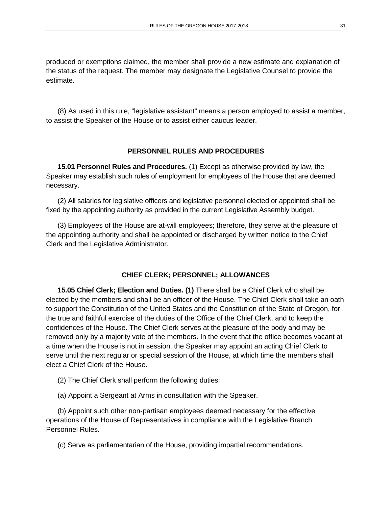produced or exemptions claimed, the member shall provide a new estimate and explanation of the status of the request. The member may designate the Legislative Counsel to provide the estimate.

(8) As used in this rule, "legislative assistant" means a person employed to assist a member, to assist the Speaker of the House or to assist either caucus leader.

### **PERSONNEL RULES AND PROCEDURES**

**15.01 Personnel Rules and Procedures.** (1) Except as otherwise provided by law, the Speaker may establish such rules of employment for employees of the House that are deemed necessary.

(2) All salaries for legislative officers and legislative personnel elected or appointed shall be fixed by the appointing authority as provided in the current Legislative Assembly budget.

(3) Employees of the House are at-will employees; therefore, they serve at the pleasure of the appointing authority and shall be appointed or discharged by written notice to the Chief Clerk and the Legislative Administrator.

#### **CHIEF CLERK; PERSONNEL; ALLOWANCES**

**15.05 Chief Clerk; Election and Duties. (1)** There shall be a Chief Clerk who shall be elected by the members and shall be an officer of the House. The Chief Clerk shall take an oath to support the Constitution of the United States and the Constitution of the State of Oregon, for the true and faithful exercise of the duties of the Office of the Chief Clerk, and to keep the confidences of the House. The Chief Clerk serves at the pleasure of the body and may be removed only by a majority vote of the members. In the event that the office becomes vacant at a time when the House is not in session, the Speaker may appoint an acting Chief Clerk to serve until the next regular or special session of the House, at which time the members shall elect a Chief Clerk of the House.

- (2) The Chief Clerk shall perform the following duties:
- (a) Appoint a Sergeant at Arms in consultation with the Speaker.

(b) Appoint such other non-partisan employees deemed necessary for the effective operations of the House of Representatives in compliance with the Legislative Branch Personnel Rules.

(c) Serve as parliamentarian of the House, providing impartial recommendations.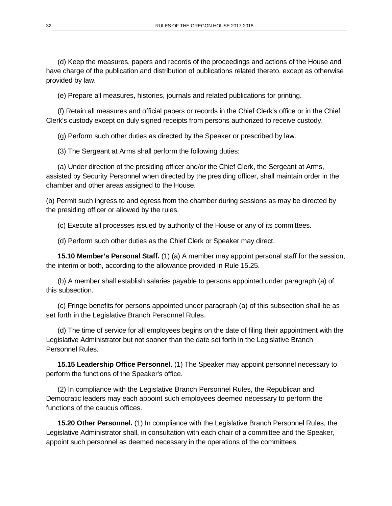(d) Keep the measures, papers and records of the proceedings and actions of the House and have charge of the publication and distribution of publications related thereto, except as otherwise provided by law.

(e) Prepare all measures, histories, journals and related publications for printing.

(f) Retain all measures and official papers or records in the Chief Clerk's office or in the Chief Clerk's custody except on duly signed receipts from persons authorized to receive custody.

(g) Perform such other duties as directed by the Speaker or prescribed by law.

(3) The Sergeant at Arms shall perform the following duties:

(a) Under direction of the presiding officer and/or the Chief Clerk, the Sergeant at Arms, assisted by Security Personnel when directed by the presiding officer, shall maintain order in the chamber and other areas assigned to the House.

(b) Permit such ingress to and egress from the chamber during sessions as may be directed by the presiding officer or allowed by the rules.

(c) Execute all processes issued by authority of the House or any of its committees.

(d) Perform such other duties as the Chief Clerk or Speaker may direct.

**15.10 Member's Personal Staff.** (1) (a) A member may appoint personal staff for the session, the interim or both, according to the allowance provided in Rule 15.25.

(b) A member shall establish salaries payable to persons appointed under paragraph (a) of this subsection.

(c) Fringe benefits for persons appointed under paragraph (a) of this subsection shall be as set forth in the Legislative Branch Personnel Rules.

(d) The time of service for all employees begins on the date of filing their appointment with the Legislative Administrator but not sooner than the date set forth in the Legislative Branch Personnel Rules.

**15.15 Leadership Office Personnel.** (1) The Speaker may appoint personnel necessary to perform the functions of the Speaker's office.

(2) In compliance with the Legislative Branch Personnel Rules, the Republican and Democratic leaders may each appoint such employees deemed necessary to perform the functions of the caucus offices.

**15.20 Other Personnel.** (1) In compliance with the Legislative Branch Personnel Rules, the Legislative Administrator shall, in consultation with each chair of a committee and the Speaker, appoint such personnel as deemed necessary in the operations of the committees.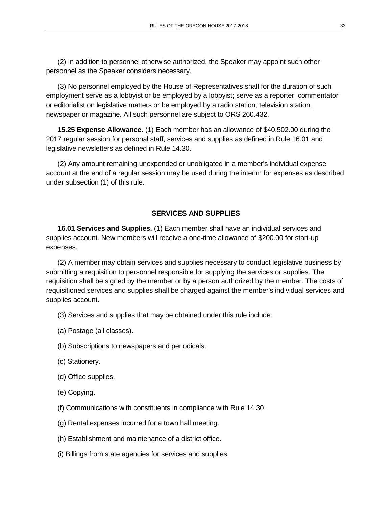(2) In addition to personnel otherwise authorized, the Speaker may appoint such other personnel as the Speaker considers necessary.

(3) No personnel employed by the House of Representatives shall for the duration of such employment serve as a lobbyist or be employed by a lobbyist; serve as a reporter, commentator or editorialist on legislative matters or be employed by a radio station, television station, newspaper or magazine. All such personnel are subject to ORS 260.432.

**15.25 Expense Allowance.** (1) Each member has an allowance of \$40,502.00 during the 2017 regular session for personal staff, services and supplies as defined in Rule 16.01 and legislative newsletters as defined in Rule 14.30.

(2) Any amount remaining unexpended or unobligated in a member's individual expense account at the end of a regular session may be used during the interim for expenses as described under subsection (1) of this rule.

## **SERVICES AND SUPPLIES**

**16.01 Services and Supplies.** (1) Each member shall have an individual services and supplies account. New members will receive a one**-**time allowance of \$200.00 for start-up expenses.

(2) A member may obtain services and supplies necessary to conduct legislative business by submitting a requisition to personnel responsible for supplying the services or supplies. The requisition shall be signed by the member or by a person authorized by the member. The costs of requisitioned services and supplies shall be charged against the member's individual services and supplies account.

- (3) Services and supplies that may be obtained under this rule include:
- (a) Postage (all classes).
- (b) Subscriptions to newspapers and periodicals.
- (c) Stationery.
- (d) Office supplies.
- (e) Copying.
- (f) Communications with constituents in compliance with Rule 14.30.
- (g) Rental expenses incurred for a town hall meeting.
- (h) Establishment and maintenance of a district office.
- (i) Billings from state agencies for services and supplies.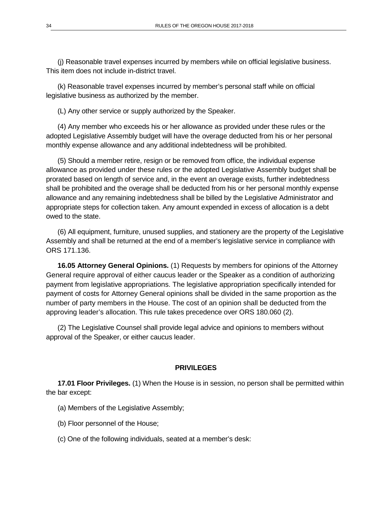(j) Reasonable travel expenses incurred by members while on official legislative business. This item does not include in-district travel.

(k) Reasonable travel expenses incurred by member's personal staff while on official legislative business as authorized by the member.

(L) Any other service or supply authorized by the Speaker.

(4) Any member who exceeds his or her allowance as provided under these rules or the adopted Legislative Assembly budget will have the overage deducted from his or her personal monthly expense allowance and any additional indebtedness will be prohibited.

(5) Should a member retire, resign or be removed from office, the individual expense allowance as provided under these rules or the adopted Legislative Assembly budget shall be prorated based on length of service and, in the event an overage exists, further indebtedness shall be prohibited and the overage shall be deducted from his or her personal monthly expense allowance and any remaining indebtedness shall be billed by the Legislative Administrator and appropriate steps for collection taken. Any amount expended in excess of allocation is a debt owed to the state.

(6) All equipment, furniture, unused supplies, and stationery are the property of the Legislative Assembly and shall be returned at the end of a member's legislative service in compliance with ORS 171.136.

**16.05 Attorney General Opinions.** (1) Requests by members for opinions of the Attorney General require approval of either caucus leader or the Speaker as a condition of authorizing payment from legislative appropriations. The legislative appropriation specifically intended for payment of costs for Attorney General opinions shall be divided in the same proportion as the number of party members in the House. The cost of an opinion shall be deducted from the approving leader's allocation. This rule takes precedence over ORS 180.060 (2).

(2) The Legislative Counsel shall provide legal advice and opinions to members without approval of the Speaker, or either caucus leader.

#### **PRIVILEGES**

**17.01 Floor Privileges.** (1) When the House is in session, no person shall be permitted within the bar except:

- (a) Members of the Legislative Assembly;
- (b) Floor personnel of the House;
- (c) One of the following individuals, seated at a member's desk: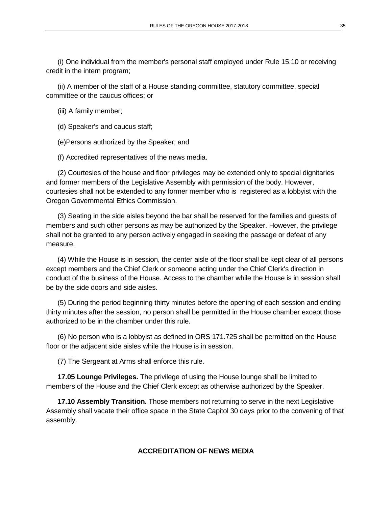(i) One individual from the member's personal staff employed under Rule 15.10 or receiving credit in the intern program;

(ii) A member of the staff of a House standing committee, statutory committee, special committee or the caucus offices; or

(iii) A family member;

(d) Speaker's and caucus staff;

(e)Persons authorized by the Speaker; and

(f) Accredited representatives of the news media.

(2) Courtesies of the house and floor privileges may be extended only to special dignitaries and former members of the Legislative Assembly with permission of the body. However, courtesies shall not be extended to any former member who is registered as a lobbyist with the Oregon Governmental Ethics Commission.

(3) Seating in the side aisles beyond the bar shall be reserved for the families and guests of members and such other persons as may be authorized by the Speaker. However, the privilege shall not be granted to any person actively engaged in seeking the passage or defeat of any measure.

(4) While the House is in session, the center aisle of the floor shall be kept clear of all persons except members and the Chief Clerk or someone acting under the Chief Clerk's direction in conduct of the business of the House. Access to the chamber while the House is in session shall be by the side doors and side aisles.

(5) During the period beginning thirty minutes before the opening of each session and ending thirty minutes after the session, no person shall be permitted in the House chamber except those authorized to be in the chamber under this rule.

(6) No person who is a lobbyist as defined in ORS 171.725 shall be permitted on the House floor or the adjacent side aisles while the House is in session.

(7) The Sergeant at Arms shall enforce this rule.

**17.05 Lounge Privileges.** The privilege of using the House lounge shall be limited to members of the House and the Chief Clerk except as otherwise authorized by the Speaker.

**17.10 Assembly Transition.** Those members not returning to serve in the next Legislative Assembly shall vacate their office space in the State Capitol 30 days prior to the convening of that assembly.

#### **ACCREDITATION OF NEWS MEDIA**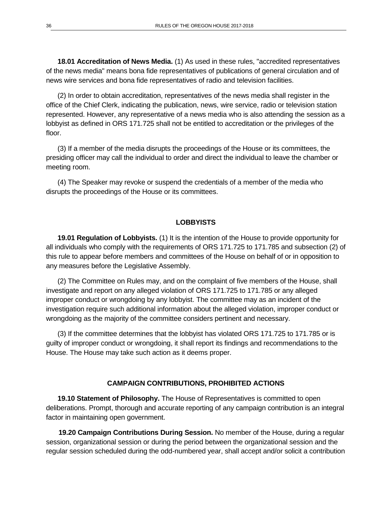**18.01 Accreditation of News Media.** (1) As used in these rules, "accredited representatives of the news media" means bona fide representatives of publications of general circulation and of news wire services and bona fide representatives of radio and television facilities.

(2) In order to obtain accreditation, representatives of the news media shall register in the office of the Chief Clerk, indicating the publication, news, wire service, radio or television station represented. However, any representative of a news media who is also attending the session as a lobbyist as defined in ORS 171.725 shall not be entitled to accreditation or the privileges of the floor.

(3) If a member of the media disrupts the proceedings of the House or its committees, the presiding officer may call the individual to order and direct the individual to leave the chamber or meeting room.

(4) The Speaker may revoke or suspend the credentials of a member of the media who disrupts the proceedings of the House or its committees.

#### **LOBBYISTS**

**19.01 Regulation of Lobbyists.** (1) It is the intention of the House to provide opportunity for all individuals who comply with the requirements of ORS 171.725 to 171.785 and subsection (2) of this rule to appear before members and committees of the House on behalf of or in opposition to any measures before the Legislative Assembly.

(2) The Committee on Rules may, and on the complaint of five members of the House, shall investigate and report on any alleged violation of ORS 171.725 to 171.785 or any alleged improper conduct or wrongdoing by any lobbyist. The committee may as an incident of the investigation require such additional information about the alleged violation, improper conduct or wrongdoing as the majority of the committee considers pertinent and necessary.

(3) If the committee determines that the lobbyist has violated ORS 171.725 to 171.785 or is guilty of improper conduct or wrongdoing, it shall report its findings and recommendations to the House. The House may take such action as it deems proper.

#### **CAMPAIGN CONTRIBUTIONS, PROHIBITED ACTIONS**

**19.10 Statement of Philosophy.** The House of Representatives is committed to open deliberations. Prompt, thorough and accurate reporting of any campaign contribution is an integral factor in maintaining open government.

**19.20 Campaign Contributions During Session.** No member of the House, during a regular session, organizational session or during the period between the organizational session and the regular session scheduled during the odd-numbered year, shall accept and/or solicit a contribution